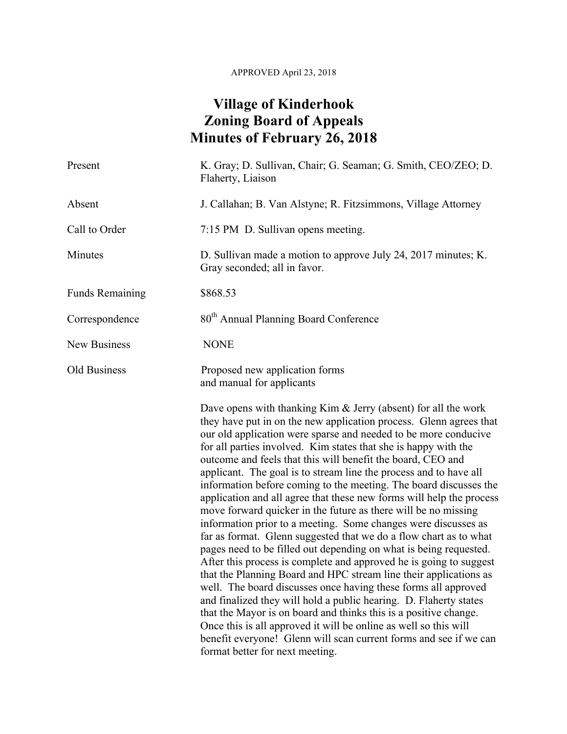## APPROVED April 23, 2018

## **Village of Kinderhook Zoning Board of Appeals Minutes of February 26, 2018**

| Present                | K. Gray; D. Sullivan, Chair; G. Seaman; G. Smith, CEO/ZEO; D.<br>Flaherty, Liaison                                                                                                                                                                                                                                                                                                                                                                                                                                                                                                                                                                                                                                                                                                                                                                                                                                                                                                                                                                                                                                                                                                                                                                                                                                                                                          |
|------------------------|-----------------------------------------------------------------------------------------------------------------------------------------------------------------------------------------------------------------------------------------------------------------------------------------------------------------------------------------------------------------------------------------------------------------------------------------------------------------------------------------------------------------------------------------------------------------------------------------------------------------------------------------------------------------------------------------------------------------------------------------------------------------------------------------------------------------------------------------------------------------------------------------------------------------------------------------------------------------------------------------------------------------------------------------------------------------------------------------------------------------------------------------------------------------------------------------------------------------------------------------------------------------------------------------------------------------------------------------------------------------------------|
| Absent                 | J. Callahan; B. Van Alstyne; R. Fitzsimmons, Village Attorney                                                                                                                                                                                                                                                                                                                                                                                                                                                                                                                                                                                                                                                                                                                                                                                                                                                                                                                                                                                                                                                                                                                                                                                                                                                                                                               |
| Call to Order          | 7:15 PM D. Sullivan opens meeting.                                                                                                                                                                                                                                                                                                                                                                                                                                                                                                                                                                                                                                                                                                                                                                                                                                                                                                                                                                                                                                                                                                                                                                                                                                                                                                                                          |
| Minutes                | D. Sullivan made a motion to approve July 24, 2017 minutes; K.<br>Gray seconded; all in favor.                                                                                                                                                                                                                                                                                                                                                                                                                                                                                                                                                                                                                                                                                                                                                                                                                                                                                                                                                                                                                                                                                                                                                                                                                                                                              |
| <b>Funds Remaining</b> | \$868.53                                                                                                                                                                                                                                                                                                                                                                                                                                                                                                                                                                                                                                                                                                                                                                                                                                                                                                                                                                                                                                                                                                                                                                                                                                                                                                                                                                    |
| Correspondence         | 80 <sup>th</sup> Annual Planning Board Conference                                                                                                                                                                                                                                                                                                                                                                                                                                                                                                                                                                                                                                                                                                                                                                                                                                                                                                                                                                                                                                                                                                                                                                                                                                                                                                                           |
| New Business           | <b>NONE</b>                                                                                                                                                                                                                                                                                                                                                                                                                                                                                                                                                                                                                                                                                                                                                                                                                                                                                                                                                                                                                                                                                                                                                                                                                                                                                                                                                                 |
| Old Business           | Proposed new application forms<br>and manual for applicants                                                                                                                                                                                                                                                                                                                                                                                                                                                                                                                                                                                                                                                                                                                                                                                                                                                                                                                                                                                                                                                                                                                                                                                                                                                                                                                 |
|                        | Dave opens with thanking Kim & Jerry (absent) for all the work<br>they have put in on the new application process. Glenn agrees that<br>our old application were sparse and needed to be more conducive<br>for all parties involved. Kim states that she is happy with the<br>outcome and feels that this will benefit the board, CEO and<br>applicant. The goal is to stream line the process and to have all<br>information before coming to the meeting. The board discusses the<br>application and all agree that these new forms will help the process<br>move forward quicker in the future as there will be no missing<br>information prior to a meeting. Some changes were discusses as<br>far as format. Glenn suggested that we do a flow chart as to what<br>pages need to be filled out depending on what is being requested.<br>After this process is complete and approved he is going to suggest<br>that the Planning Board and HPC stream line their applications as<br>well. The board discusses once having these forms all approved<br>and finalized they will hold a public hearing. D. Flaherty states<br>that the Mayor is on board and thinks this is a positive change.<br>Once this is all approved it will be online as well so this will<br>benefit everyone! Glenn will scan current forms and see if we can<br>format better for next meeting. |